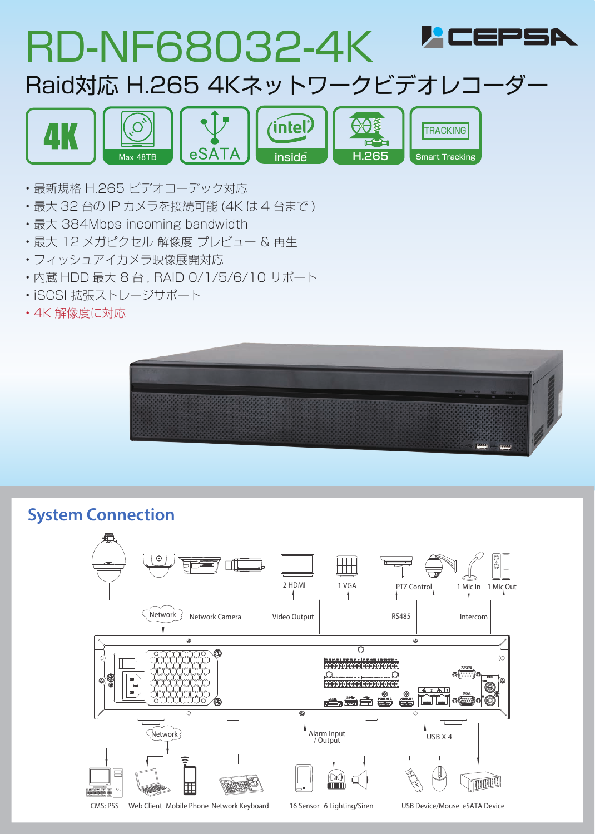

- 最新規格 H.265 ビデオコーデック対応
- 最大 32 台の IP カメラを接続可能 (4K は 4 台まで )

 $M$ ax 48TB  $\blacksquare$  eSATA

- 最大 384Mbps incoming bandwidth
- 最大 12 メガピクセル 解像度 プレビュー & 再生
- フィッシュアイカメラ映像展開対応
- 内蔵 HDD 最大 8 台 , RAID 0/1/5/6/10 サポート
- iSCSI 拡張ストレージサポート
- 4K 解像度に対応



 $\overline{\phantom{aa}}$  H.265  $\overline{\phantom{aa}}$  Smart Tracking

 $\overline{ }$ 

## **System Connection**

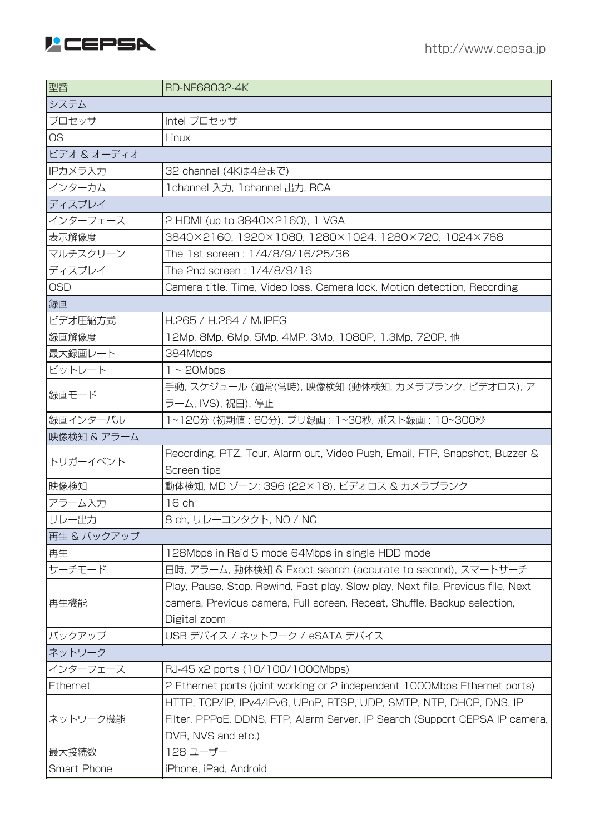

| 型番          | RD-NF68032-4K                                                                   |  |
|-------------|---------------------------------------------------------------------------------|--|
| システム        |                                                                                 |  |
| プロセッサ       | Intel プロセッサ                                                                     |  |
| <b>OS</b>   | Linux                                                                           |  |
| ビデオ & オーディオ |                                                                                 |  |
| IPカメラ入力     | 32 channel (4Kは4台まで)                                                            |  |
| インターカム      | 1 channel 入力, 1 channel 出力, RCA                                                 |  |
| ディスプレイ      |                                                                                 |  |
| インターフェース    | 2 HDMI (up to 3840×2160), 1 VGA                                                 |  |
| 表示解像度       | 3840×2160, 1920×1080, 1280×1024, 1280×720, 1024×768                             |  |
| マルチスクリーン    | The 1st screen: 1/4/8/9/16/25/36                                                |  |
| ディスプレイ      | The 2nd screen: 1/4/8/9/16                                                      |  |
| <b>OSD</b>  | Camera title, Time, Video loss, Camera lock, Motion detection, Recording        |  |
| 録画          |                                                                                 |  |
| ビデオ圧縮方式     | H.265 / H.264 / MJPEG                                                           |  |
| 録画解像度       | 12Mp, 8Mp, 6Mp, 5Mp, 4MP, 3Mp, 1080P, 1.3Mp, 720P, 他                            |  |
| 最大録画レート     | 384Mbps                                                                         |  |
| ビットレート      | $1 \sim$ 20Mbps                                                                 |  |
|             | 手動, スケジュール (通常(常時), 映像検知 (動体検知, カメラブランク, ビデオロス), ア                              |  |
| 録画モード       | ラーム, IVS), 祝日), 停止                                                              |  |
| 録画インターバル    | 1~120分 (初期値:60分), プリ録画:1~30秒, ポスト録画:10~300秒                                     |  |
| 映像検知 & アラーム |                                                                                 |  |
| トリガーイベント    | Recording, PTZ, Tour, Alarm out, Video Push, Email, FTP, Snapshot, Buzzer &     |  |
|             | Screen tips                                                                     |  |
| 映像検知        | 動体検知, MD ゾーン: 396 (22×18), ビデオロス & カメラブランク                                      |  |
| アラーム入力      | 16 ch                                                                           |  |
| リレー出力       | 8 ch, リレーコンタクト, NO / NC                                                         |  |
| 再生 & バックアップ |                                                                                 |  |
| 再生          | 128Mbps in Raid 5 mode 64Mbps in single HDD mode                                |  |
| サーチモード      | 日時, アラーム, 動体検知 & Exact search (accurate to second), スマートサーチ                     |  |
|             | Play, Pause, Stop, Rewind, Fast play, Slow play, Next file, Previous file, Next |  |
| 再生機能        | camera, Previous camera, Full screen, Repeat, Shuffle, Backup selection,        |  |
|             | Digital zoom                                                                    |  |
| バックアップ      | USB デバイス / ネットワーク / eSATA デバイス                                                  |  |
| ネットワーク      |                                                                                 |  |
| インターフェース    | RJ-45 x2 ports (10/100/1000Mbps)                                                |  |
| Ethernet    | 2 Ethernet ports (joint working or 2 independent 1000Mbps Ethernet ports)       |  |
| ネットワーク機能    | HTTP, TCP/IP, IPv4/IPv6, UPnP, RTSP, UDP, SMTP, NTP, DHCP, DNS, IP              |  |
|             | Filter, PPPoE, DDNS, FTP, Alarm Server, IP Search (Support CEPSA IP camera,     |  |
|             | DVR, NVS and etc.)                                                              |  |
| 最大接続数       | 128 ユーザー                                                                        |  |
| Smart Phone | iPhone, iPad, Android                                                           |  |